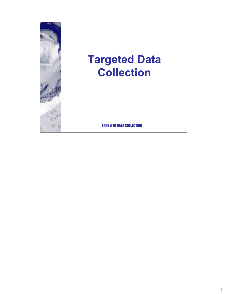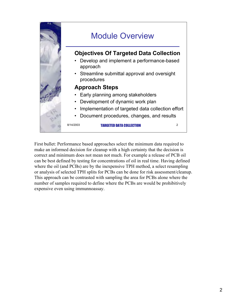

First bullet: Performance based approaches select the minimum data required to make an informed decision for cleanup with a high certainty that the decision is correct and minimum does not mean not much. For example a release of PCB oil can be best defined by testing for concentrations of oil in real time. Having defined where the oil (and PCBs) are by the inexpensive TPH method, a select resampling or analysis of selected TPH splits for PCBs can be done for risk assessment/cleanup. This approach can be contrasted with sampling the area for PCBs alone where the number of samples required to define where the PCBs are would be prohibitively expensive even using immunnoassay.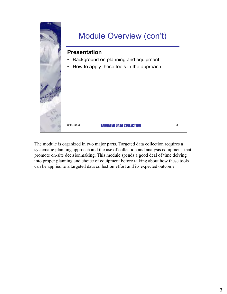

The module is organized in two major parts. Targeted data collection requires a systematic planning approach and the use of collection and analysis equipment that promote on-site decisionmaking. This module spends a good deal of time delving into proper planning and choice of equipment before talking about how these tools can be applied to a targeted data collection effort and its expected outcome.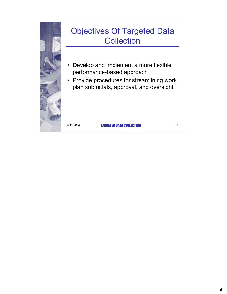

## Objectives Of Targeted Data **Collection**

- Develop and implement a more flexible performance-based approach
- Provide procedures for streamlining work plan submittals, approval, and oversight

8/14/2003 **TARGETED DATA COLLECTION** 4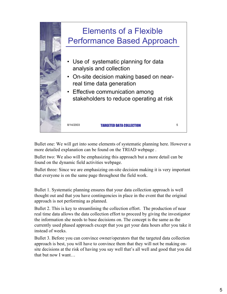

Bullet one: We will get into some elements of systematic planning here. However a more detailed explanation can be found on the TRIAD webpage .

Bullet two: We also will be emphasizing this approach but a more detail can be found on the dynamic field activities webpage.

Bullet three: Since we are emphasizing on-site decision making it is very important that everyone is on the same page throughout the field work.

Bullet 1. Systematic planning ensures that your data collection approach is well thought out and that you have contingencies in place in the event that the original approach is not performing as planned.

Bullet 2. This is key to streamlining the collection effort. The production of near real time data allows the data collection effort to proceed by giving the investigator the information she needs to base decisions on. The concept is the same as the currently used phased approach except that you get your data hours after you take it instead of weeks.

Bullet 3. Before you can convince owner/operators that the targeted data collection approach is best, you will have to convince them that they will not be making onsite decisions at the risk of having you say well that's all well and good that you did that but now I want…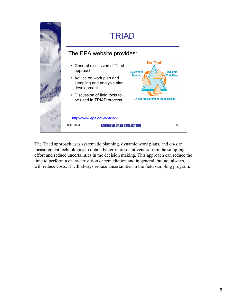

The Triad approach uses systematic planning, dynamic work plans, and on-site measurement technologies to obtain better representativeness from the sampling effort and reduce uncertainties in the decision making. This approach can reduce the time to perform a characterization or remediation and in general, but not always, will reduce costs. It will always reduce uncertainties in the field sampling program.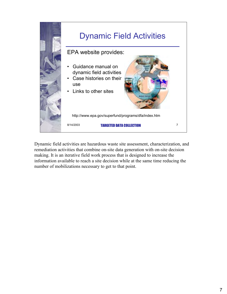

Dynamic field activities are hazardous waste site assessment, characterization, and remediation activities that combine on-site data generation with on-site decision making. It is an iterative field work process that is designed to increase the information available to reach a site decision while at the same time reducing the number of mobilizations necessary to get to that point.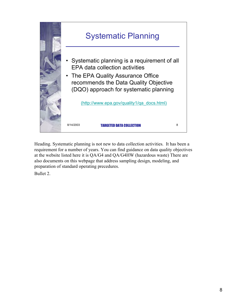

Heading. Systematic planning is not new to data collection activities. It has been a requirement for a number of years. You can find guidance on data quality objectives at the website listed here it is QA/G4 and QA/G4HW (hazardous waste) There are also documents on this webpage that address sampling design, modeling, and preparation of standard operating precedures.

Bullet 2.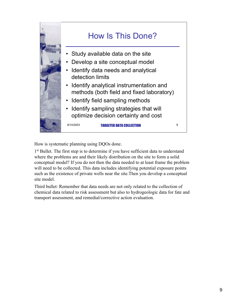

How is systematic planning using DQOs done.

1<sup>st</sup> Bullet. The first step is to determine if you have sufficient data to understand where the problems are and their likely distribution on the site to form a solid conceptual model? If you do not then the data needed to at least frame the problem will need to be collected. This data includes identifying potential exposure points such as the existence of private wells near the site.Then you develop a conceptual site model.

Third bullet: Remember that data needs are not only related to the collection of chemical data related to risk assessment but also to hydrogeologic data for fate and transport assessment, and remedial/corrective action evaluation.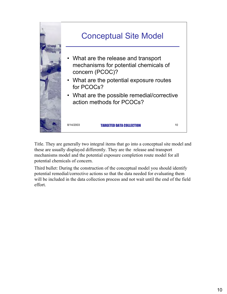

Title. They are generally two integral items that go into a conceptual site model and these are usually displayed differently. They are the release and transport mechanisms model and the potential exposure completion route model for all potential chemicals of concern.

Third bullet: During the construction of the conceptual model you should identify potential remedial/corrective actions so that the data needed for evaluating them will be included in the data collection process and not wait until the end of the field effort.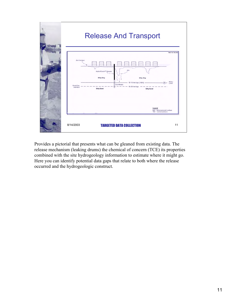

Provides a pictorial that presents what can be gleaned from existing data. The release mechanism (leaking drums) the chemical of concern (TCE) its properties combined with the site hydrogeology information to estimate where it might go. Here you can identify potential data gaps that relate to both where the release occurred and the hydrogeologic construct.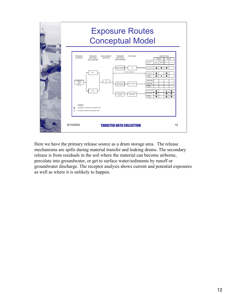

Here we have the primary release source as a drum storage area. The release mechanisms are spills during material transfer and leaking drums. The secondary release is from residuals in the soil where the material can become airborne, percolate into groundwater, or get to surface water/sediments by runoff or groundwater discharge. The receptor analysis shows current and potential exposures as well as where it is unlikely to happen.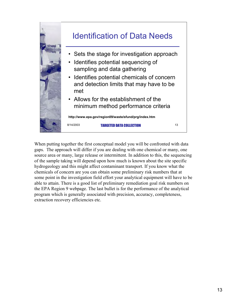

When putting together the first conceptual model you will be confronted with data gaps. The approach will differ if you are dealing with one chemical or many, one source area or many, large release or intermittent. In addition to this, the sequencing of the sample taking will depend upon how much is known about the site specific hydrogeology and this might affect contaminant transport. If you know what the chemicals of concern are you can obtain some preliminary risk numbers that at some point in the investigation field effort your analytical equipment will have to be able to attain. There is a good list of preliminary remediation goal risk numbers on the EPA Region 9 webpage. The last bullet is for the performance of the analytical program which is generally associated with precision, accuracy, completeness, extraction recovery efficiencies etc.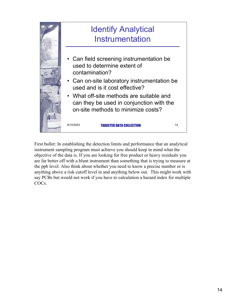

First bullet: In establishing the detection limits and performance that an analytical instrument sampling program must achieve you should keep in mind what the objective of the data is. If you are looking for free product or heavy residuals you are far better off with a blunt instrument than something that is trying to measure at the ppb level. Also think about whether you need to know a precise number or is anything above a risk cutoff level in and anything below out. This might work with say PCBs but would not work if you have to calculation a hazard index for multiple COCs.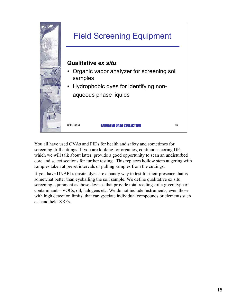

You all have used OVAs and PIDs for health and safety and sometimes for screening drill cuttings. If you are looking for organics, continuous coring DPs which we will talk about latter, provide a good opportunity to scan an undisturbed core and select sections for further testing. This replaces hollow stem augering with samples taken at preset intervals or pulling samples from the cuttings.

If you have DNAPLs onsite, dyes are a handy way to test for their presence that is somewhat better than eyeballing the soil sample. We define qualitative ex situ screening equipment as those devices that provide total readings of a given type of contaminant–VOCs, oil, halogens etc. We do not include instruments, even those with high detection limits, that can speciate individual compounds or elements such as hand held XRFs.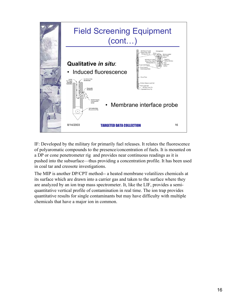

IF: Developed by the military for primarily fuel releases. It relates the fluorescence of polyaromatic compounds to the presence/concentration of fuels. It is mounted on a DP or cone penetrometer rig and provides near continuous readings as it is pushed into the subsurface–thus providing a concentration profile. It has been used in coal tar and creosote investigations.

The MIP is another DP/CPT method-- a heated membrane volatilizes chemicals at its surface which are drawn into a carrier gas and taken to the surface where they are analyzed by an ion trap mass spectrometer. It, like the LIF, provides a semiquantitative vertical profile of contamination in real time. The ion trap provides quantitative results for single contaminants but may have difficulty with multiple chemicals that have a major ion in common.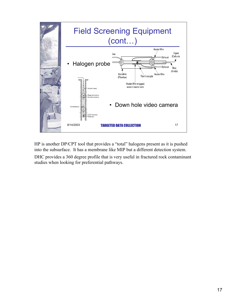

HP is another DP/CPT tool that provides a "total" halogens present as it is pushed into the subsurface. It has a membrane like MIP but a different detection system.

DHC provides a 360 degree profile that is very useful in fractured rock contaminant studies when looking for preferential pathways.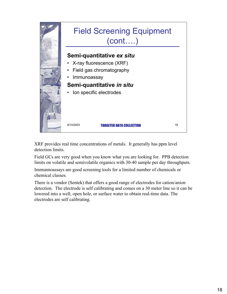

XRF provides real time concentrations of metals. It generally has ppm level detection limits.

Field GCs are very good when you know what you are looking for. PPB detection limits on volatile and semivolatile organics with 30-40 sample per day throughputs.

Immunnoassays are good screening tools for a limited number of chemicals or chemical classes.

There is a vendor (Sentek) that offers a good range of electrodes for cation/anion detection. The electrode is self calibrating and comes on a 30 meter line so it can be lowered into a well, open hole, or surface water to obtain real-time data. The electrodes are self calibrating.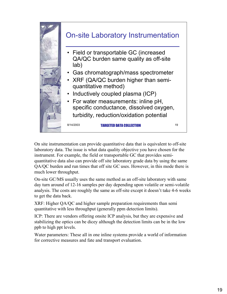

On site instrumentation can provide quantitative data that is equivalent to off-site laboratory data. The issue is what data quality objective you have chosen for the instrument. For example, the field or transportable GC that provides semiquantitative data also can provide off site laboratory grade data by using the same QA/QC burden and run times that off site GC uses. However, in this mode there is much lower throughput.

On-site GC/MS usually uses the same method as an off-site laboratory with same day turn around of 12-16 samples per day depending upon volatile or semi-volatile analysis. The costs are roughly the same as off-site except it doesn't take 4-6 weeks to get the data back.

XRF: Higher QA/QC and higher sample preparation requirements than semi quantitative with less throughput (generally ppm detection limits).

ICP: There are vendors offering onsite ICP analysis, but they are expensive and stabilizing the optics can be dicey although the detection limits can be in the low ppb to high ppt levels.

Water parameters: These all in one inline systems provide a world of information for corrective measures and fate and transport evaluation.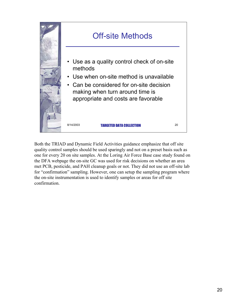

Both the TRIAD and Dynamic Field Activities guidance emphasize that off site quality control samples should be used sparingly and not on a preset basis such as one for every 20 on site samples. At the Loring Air Force Base case study found on the DFA webpage the on-site GC was used for risk decisions on whether an area met PCB, pesticide, and PAH cleanup goals or not. They did not use an off-site lab for "confirmation" sampling. However, one can setup the sampling program where the on-site instrumentation is used to identify samples or areas for off site confirmation.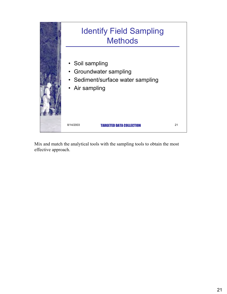

Mix and match the analytical tools with the sampling tools to obtain the most effective approach.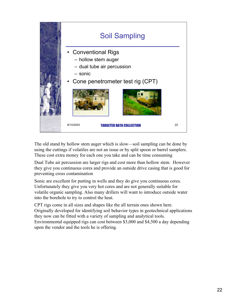

The old stand by hollow stem auger which is slow–soil sampling can be done by using the cuttings if volatiles are not an issue or by split spoon or barrel samplers. These cost extra money for each one you take and can be time consuming

Dual Tube air percussion are larger rigs and cost more than hollow stem. However they give you continuous cores and provide an outside drive casing that is good for preventing cross contamination

Sonic are excellent for putting in wells and they do give you continuous cores. Unfortunately they give you very hot cores and are not generally suitable for volatile organic sampling. Also many drillers will want to introduce outside water into the borehole to try to control the heat.

CPT rigs come in all sizes and shapes like the all terrain ones shown here. Originally developed for identifying soil behavior types in geotechnical applications they now can be fitted with a variety of sampling and analytical tools. Environmental equipped rigs can cost between \$3,000 and \$4,500 a day depending upon the vendor and the tools he is offering.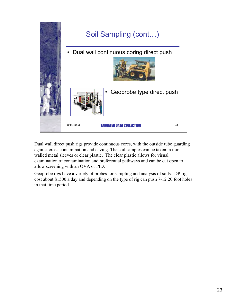

Dual wall direct push rigs provide continuous cores, with the outside tube guarding against cross contamination and caving. The soil samples can be taken in thin walled metal sleeves or clear plastic. The clear plastic allows for visual examination of contamination and preferential pathways and can be cut open to allow screening with an OVA or PID.

Geoprobe rigs have a variety of probes for sampling and analysis of soils. DP rigs cost about \$1500 a day and depending on the type of rig can push 7-12 20 foot holes in that time period.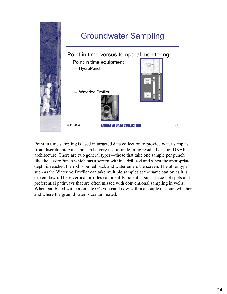

Point in time sampling is used in targeted data collection to provide water samples from discrete intervals and can be very useful in defining residual or pool DNAPL architecture. There are two general types–those that take one sample per punch like the HydroPunch which has a screen within a drill rod and when the appropriate depth is reached the rod is pulled back and water enters the screen. The other type such as the Waterloo Profiler can take multiple samples at the same station as it is driven down. These vertical profiles can identify potential subsurface hot spots and preferential pathways that are often missed with conventional sampling in wells. When combined with an on-site GC you can know within a couple of hours whether and where the groundwater is contaminated.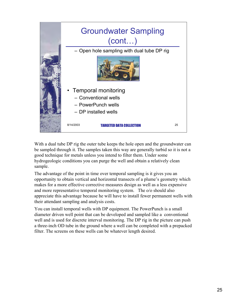

With a dual tube DP rig the outer tube keeps the hole open and the groundwater can be sampled through it. The samples taken this way are generally turbid so it is not a good technique for metals unless you intend to filter them. Under some hydrogeologic conditions you can purge the well and obtain a relatively clean sample.

The advantage of the point in time over temporal sampling is it gives you an opportunity to obtain vertical and horizontal transects of a plume's geometry which makes for a more effective corrective measures design as well as a less expensive and more representative temporal monitoring system. The o/o should also appreciate this advantage because he will have to install fewer permanent wells with their attendant sampling and analysis costs.

You can install temporal wells with DP equipment. The PowerPunch is a small diameter driven well point that can be developed and sampled like a conventional well and is used for discrete interval monitoring. The DP rig in the picture can push a three-inch OD tube in the ground where a well can be completed with a prepacked filter. The screens on these wells can be whatever length desired.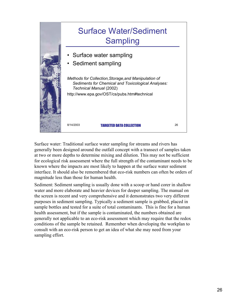

Surface water: Traditional surface water sampling for streams and rivers has generally been designed around the outfall concept with a transect of samples taken at two or more depths to determine mixing and dilution. This may not be sufficient for ecological risk assessment where the full strength of the contaminant needs to be known where the impacts are most likely to happen at the surface water sediment interface. It should also be remembered that eco-risk numbers can often be orders of magnitude less than those for human health.

Sediment: Sediment sampling is usually done with a scoop or hand corer in shallow water and more elaborate and heavier devices for deeper sampling. The manual on the screen is recent and very comprehensive and it demonstrates two very different purposes in sediment sampling. Typically a sediment sample is grabbed, placed in sample bottles and tested for a suite of total contaminants. This is fine for a human health assessment, but if the sample is contaminated, the numbers obtained are generally not applicable to an eco-risk assessment which may require that the redox conditions of the sample be retained. Remember when developing the workplan to consult with an eco-risk person to get an idea of what she may need from your sampling effort.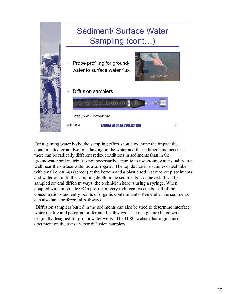

For a gaining water body, the sampling effort should examine the impact the contaminated groundwater is having on the water and the sediment and because there can be radically different redox conditions in sediments than in the groundwater soil matrix it is not necessarily accurate to use groundwater quality in a well near the surface water as a surrogate. The top device is a stainless steel tube with small openings (screen) at the bottom and a plastic rod insert to keep sediments and water out until the sampling depth in the sediments is achieved. It can be sampled several different ways, the technician here is using a syringe. When coupled with an on-site GC a profile on very tight centers can be had of the concentrations and entry points of organic contaminants. Remember the sediments can also have preferential pathways.

Diffusion samplers buried in the sediments can also be used to determine interface water quality and potential preferential pathways. The one pictured here was originally designed for groundwater wells. The ITRC website has a guidance document on the use of vapor diffusion samplers.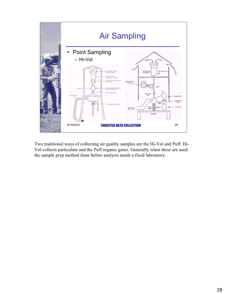

Two traditional ways of collecting air quality samples are the Hi-Vol and Puff. Hi-Vol collects particulate and the Puff organic gases. Generally when these are used the sample prep method done before analysis needs a fixed laboratory.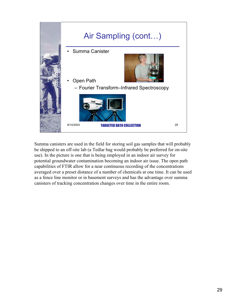

Summa canisters are used in the field for storing soil gas samples that will probably be shipped to an off-site lab (a Tedlar bag would probably be preferred for on-site use). In the picture is one that is being employed in an indoor air survey for potential groundwater contamination becoming an indoor air issue. The open path capabilities of FTIR allow for a near continuous recording of the concentrations averaged over a preset distance of a number of chemicals at one time. It can be used as a fence line monitor or in basement surveys and has the advantage over summa canisters of tracking concentration changes over time in the entire room.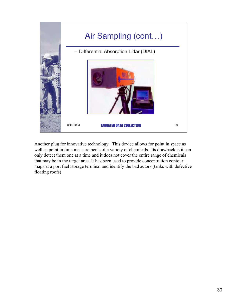

Another plug for innovative technology. This device allows for point in space as well as point in time measurements of a variety of chemicals. Its drawback is it can only detect them one at a time and it does not cover the entire range of chemicals that may be in the target area. It has been used to provide concentration contour maps at a port fuel storage terminal and identify the bad actors (tanks with defective floating roofs)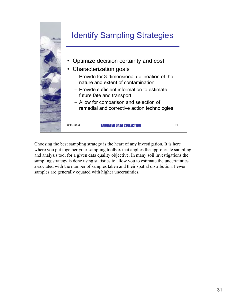

Choosing the best sampling strategy is the heart of any investigation. It is here where you put together your sampling toolbox that applies the appropriate sampling and analysis tool for a given data quality objective. In many soil investigations the sampling strategy is done using statistics to allow you to estimate the uncertainties associated with the number of samples taken and their spatial distribution. Fewer samples are generally equated with higher uncertainties.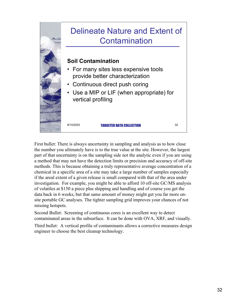

First bullet: There is always uncertainty in sampling and analysis as to how close the number you ultimately have is to the true value at the site. However, the largest part of that uncertainty is on the sampling side not the analytic even if you are using a method that may not have the detection limits or precision and accuracy of off-site methods. This is because obtaining a truly representative average concentration of a chemical in a specific area of a site may take a large number of samples especially if the areal extent of a given release is small compared with that of the area under investigation. For example, you might be able to afford 10 off-site GC/MS analysis of volatiles at \$150 a piece plus shipping and handling and of course you get the data back in 6 weeks, but that same amount of money might get you far more onsite portable GC analyses. The tighter sampling grid improves your chances of not missing hotspots.

Second Bullet: Screening of continuous cores is an excellent way to detect contaminated areas in the subsurface. It can be done with OVA, XRF, and visually.

Third bullet: A vertical profile of contaminants allows a corrective measures design engineer to choose the best cleanup technology.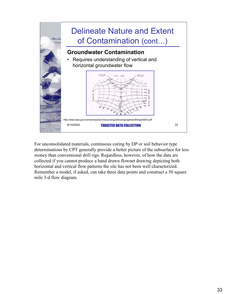

For unconsolidated materials, continuous coring by DP or soil behavior type determinations by CPT generally provide a better picture of the subsurface for less money than conventional drill rigs. Regardless, however, of how the data are collected if you cannot produce a hand drawn flownet drawing depicting both horizontal and vertical flow patterns the site has not been well characterized. Remember a model, if asked, can take three data points and construct a 50 square mile 3-d flow diagram.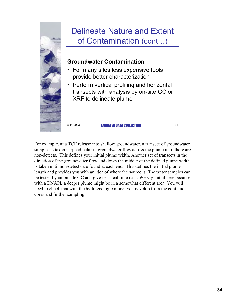

For example, at a TCE release into shallow groundwater, a transect of groundwater samples is taken perpendicular to groundwater flow across the plume until there are non-detects. This defines your initial plume width. Another set of transects in the direction of the groundwater flow and down the middle of the defined plume width is taken until non-detects are found at each end. This defines the initial plume length and provides you with an idea of where the source is. The water samples can be tested by an on-site GC and give near real time data. We say initial here because with a DNAPL a deeper plume might be in a somewhat different area. You will need to check that with the hydrogeologic model you develop from the continuous cores and further sampling.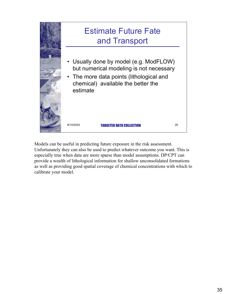

Models can be useful in predicting future exposure in the risk assessment. Unfortunately they can also be used to predict whatever outcome you want. This is especially true when data are more sparse than model assumptions. DP/CPT can provide a wealth of lithological information for shallow unconsolidated formations as well as providing good spatial coverage of chemical concentrations with which to calibrate your model.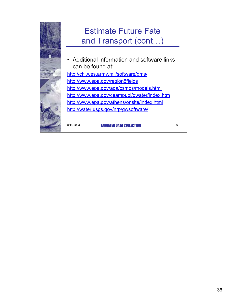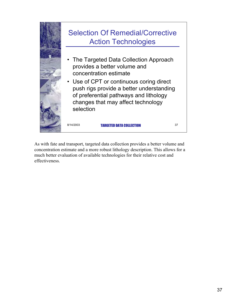

As with fate and transport, targeted data collection provides a better volume and concentration estimate and a more robust lithology description. This allows for a much better evaluation of available technologies for their relative cost and effectiveness.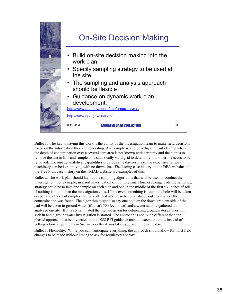

Bullet 1: The key to having this work is the ability of the investigation team to make field decisions based on the information they are generating. An example would be a dig and haul cleanup where the depth of contamination over a several acre area is not known with certainty and the plan is to remove the dirt in lifts and sample on a statistically valid grid to determine if another lift needs to be removed. The on-site analytical capabilities provide same day results so the expensive removal machinery can be kept moving with no down time. The Loring case history on the DFA website and the Tree Fruit case history on the TRIAD website are examples of this.

Bullet 2: The work plan should lay out the sampling algorithms that will be used to conduct the investigation. For example, in a soil investigation of multiple small former storage pads the sampling strategy could be to take one sample on each side and one in the middle of the first six inches of soil. If nothing is found then the investigation ends. If however, something is found the hole will be taken deeper and other soil samples will be collected at a pre-selected distance out from where the contamination was found. The algorithm might also say one hole on the down gradient side of the pad will be taken to ground water (if it isn't 500 feet down) and a water sample gathered and analyzed on-site. If it is contaminated the method given for delineating groundwater plumes will kick in and a groundwater investigation is started. The approach is not much different than the phased approach that is advocated in the 1988 RFI guidance manual except that now instead of getting a look at your data in 5-6 weeks after it was taken you see it the same day.

Bullet 3: Flexibility. While you can't anticipate everything, the approach should allow for most field changes to be made without having to ask for regulatory approval.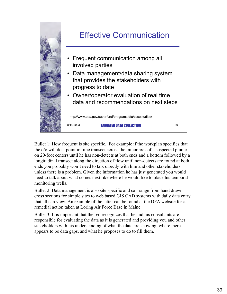

Bullet 1: How frequent is site specific. For example if the workplan specifies that the o/o will do a point in time transect across the minor axis of a suspected plume on 20-foot centers until he has non-detects at both ends and a bottom followed by a longitudinal transect along the direction of flow until non-detects are found at both ends you probably won't need to talk directly with him and other stakeholders unless there is a problem. Given the information he has just generated you would need to talk about what comes next like where he would like to place his temporal monitoring wells.

Bullet 2: Data management is also site specific and can range from hand drawn cross sections for simple sites to web based GIS CAD systems with daily data entry that all can view. An example of the latter can be found at the DFA website for a remedial action taken at Loring Air Force Base in Maine.

Bullet 3: It is important that the o/o recognizes that he and his consultants are responsible for evaluating the data as it is generated and providing you and other stakeholders with his understanding of what the data are showing, where there appears to be data gaps, and what he proposes to do to fill them.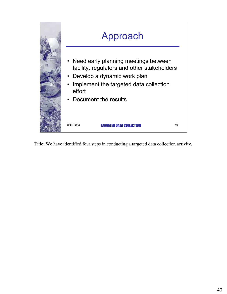

Title: We have identified four steps in conducting a targeted data collection activity.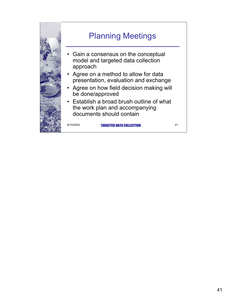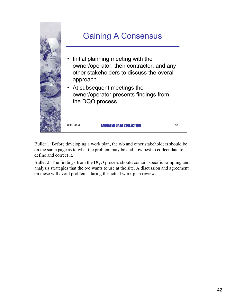

Bullet 1: Before developing a work plan, the o/o and other stakeholders should be on the same page as to what the problem may be and how best to collect data to define and correct it.

Bullet 2: The findings from the DQO process should contain specific sampling and analysis strategies that the o/o wants to use at the site. A discussion and agreement on these will avoid problems during the actual work plan review.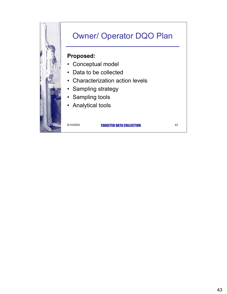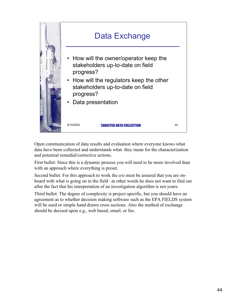

Open communication of data results and evaluation where everyone knows what data have been collected and understands what they mean for the characterization and potential remedial/corrective actions.

First bullet: Since this is a dynamic process you will need to be more involved than with an approach where everything is preset.

Second bullet: For this approach to work the o/o must be assured that you are onboard with what is going on in the field -in other words he does not want to find out after the fact that his interpretation of an investigation algorithm is not yours.

Third bullet: The degree of complexity is project specific, but you should have an agreement as to whether decision making software such as the EPA FIELDS system will be used or simple hand drawn cross sections. Also the method of exchange should be decised upon e.g., web based, email, or fax.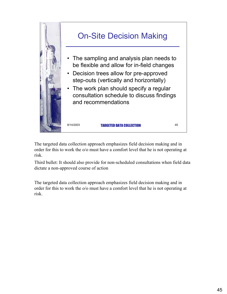

The targeted data collection approach emphasizes field decision making and in order for this to work the o/o must have a comfort level that he is not operating at risk.

Third bullet: It should also provide for non-scheduled consultations when field data dictate a non-approved course of action

The targeted data collection approach emphasizes field decision making and in order for this to work the o/o must have a comfort level that he is not operating at risk.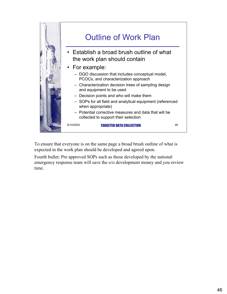

To ensure that everyone is on the same page a broad brush outline of what is expected in the work plan should be developed and agreed upon.

Fourth bullet: Pre approved SOPs such as those developed by the national emergency response team will save the o/o development money and you review time.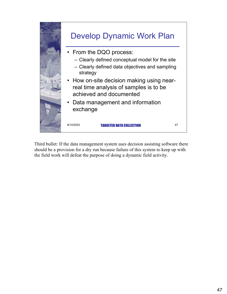

Third bullet: If the data management system uses decision assisting software there should be a provision for a dry run because failure of this system to keep up with the field work will defeat the purpose of doing a dynamic field activity.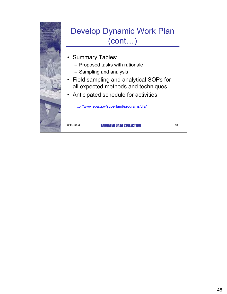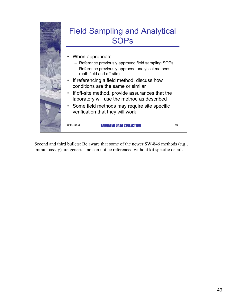

Second and third bullets: Be aware that some of the newer SW-846 methods (e.g., immunoassay) are generic and can not be referenced without kit specific details.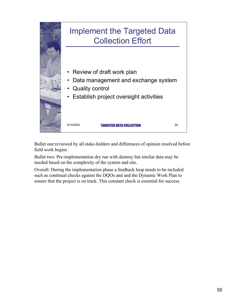

Bullet one:reviewed by all stake-holders and differences of opinion resolved before field work begins

Bullet two: Pre-implementation dry run with dummy but similar data may be needed based on the complexity of the system and site.

Overall: During the implementation phase a feedback loop needs to be included such as continual checks against the DQOs and and the Dynamic Work Plan to ensure that the project is on track. This constant check is essential for success.